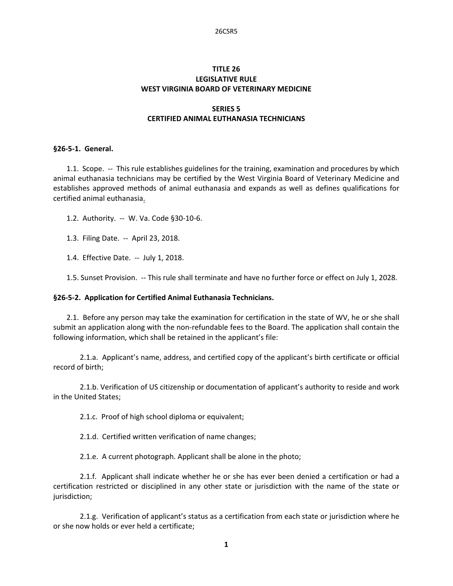# **TITLE 26 LEGISLATIVE RULE WEST VIRGINIA BOARD OF VETERINARY MEDICINE**

# **SERIES 5 CERTIFIED ANIMAL EUTHANASIA TECHNICIANS**

## **§26‐5‐1. General.**

1.1. Scope. -- This rule establishes guidelines for the training, examination and procedures by which animal euthanasia technicians may be certified by the West Virginia Board of Veterinary Medicine and establishes approved methods of animal euthanasia and expands as well as defines qualifications for certified animal euthanasia.

1.2. Authority. -- W. Va. Code §30-10-6.

1.3. Filing Date. ‐‐ April 23, 2018.

1.4. Effective Date. ‐‐ July 1, 2018.

1.5. Sunset Provision. ‐‐ This rule shall terminate and have no further force or effect on July 1, 2028.

### **§26‐5‐2. Application for Certified Animal Euthanasia Technicians.**

2.1. Before any person may take the examination for certification in the state of WV, he or she shall submit an application along with the non-refundable fees to the Board. The application shall contain the following information, which shall be retained in the applicant's file:

 2.1.a. Applicant's name, address, and certified copy of the applicant's birth certificate or official record of birth;

 2.1.b. Verification of US citizenship or documentation of applicant's authority to reside and work in the United States;

2.1.c. Proof of high school diploma or equivalent;

2.1.d. Certified written verification of name changes;

2.1.e. A current photograph. Applicant shall be alone in the photo;

2.1.f. Applicant shall indicate whether he or she has ever been denied a certification or had a certification restricted or disciplined in any other state or jurisdiction with the name of the state or jurisdiction;

 2.1.g. Verification of applicant's status as a certification from each state or jurisdiction where he or she now holds or ever held a certificate;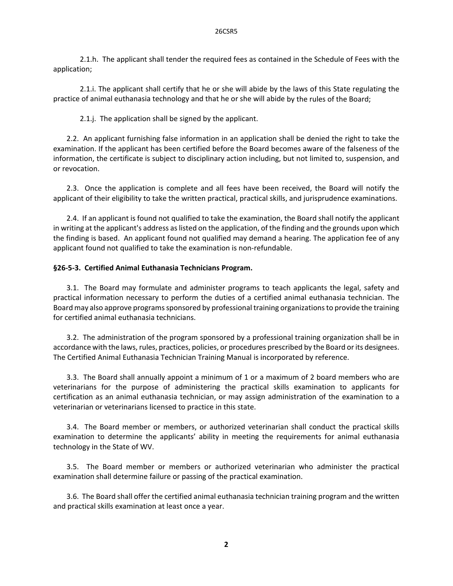2.1.h. The applicant shall tender the required fees as contained in the Schedule of Fees with the application;

 2.1.i. The applicant shall certify that he or she will abide by the laws of this State regulating the practice of animal euthanasia technology and that he or she will abide by the rules of the Board;

2.1.j. The application shall be signed by the applicant.

2.2. An applicant furnishing false information in an application shall be denied the right to take the examination. If the applicant has been certified before the Board becomes aware of the falseness of the information, the certificate is subject to disciplinary action including, but not limited to, suspension, and or revocation.

2.3. Once the application is complete and all fees have been received, the Board will notify the applicant of their eligibility to take the written practical, practical skills, and jurisprudence examinations.

2.4. If an applicant is found not qualified to take the examination, the Board shall notify the applicant in writing at the applicant's address aslisted on the application, of the finding and the grounds upon which the finding is based. An applicant found not qualified may demand a hearing. The application fee of any applicant found not qualified to take the examination is non‐refundable.

### **§26‐5‐3. Certified Animal Euthanasia Technicians Program.**

3.1. The Board may formulate and administer programs to teach applicants the legal, safety and practical information necessary to perform the duties of a certified animal euthanasia technician. The Board may also approve programssponsored by professional training organizationsto provide the training for certified animal euthanasia technicians.

3.2. The administration of the program sponsored by a professional training organization shall be in accordance with the laws, rules, practices, policies, or procedures prescribed by the Board or its designees. The Certified Animal Euthanasia Technician Training Manual is incorporated by reference.

3.3. The Board shall annually appoint a minimum of 1 or a maximum of 2 board members who are veterinarians for the purpose of administering the practical skills examination to applicants for certification as an animal euthanasia technician, or may assign administration of the examination to a veterinarian or veterinarians licensed to practice in this state.

3.4. The Board member or members, or authorized veterinarian shall conduct the practical skills examination to determine the applicants' ability in meeting the requirements for animal euthanasia technology in the State of WV.

3.5. The Board member or members or authorized veterinarian who administer the practical examination shall determine failure or passing of the practical examination.

3.6. The Board shall offer the certified animal euthanasia technician training program and the written and practical skills examination at least once a year.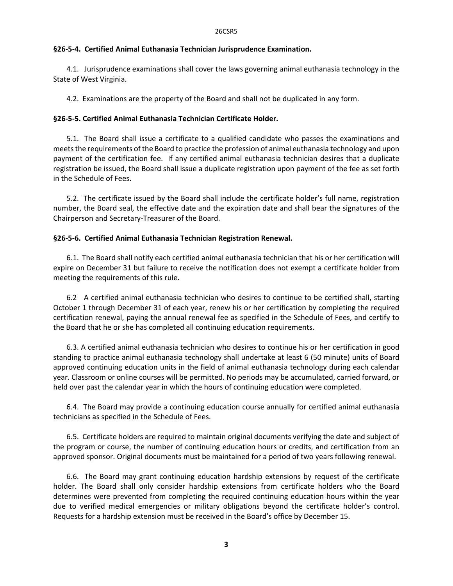## **§26‐5‐4. Certified Animal Euthanasia Technician Jurisprudence Examination.**

4.1. Jurisprudence examinations shall cover the laws governing animal euthanasia technology in the State of West Virginia.

4.2. Examinations are the property of the Board and shall not be duplicated in any form.

## **§26‐5‐5. Certified Animal Euthanasia Technician Certificate Holder.**

5.1. The Board shall issue a certificate to a qualified candidate who passes the examinations and meetsthe requirements of the Board to practice the profession of animal euthanasia technology and upon payment of the certification fee. If any certified animal euthanasia technician desires that a duplicate registration be issued, the Board shall issue a duplicate registration upon payment of the fee as set forth in the Schedule of Fees.

5.2. The certificate issued by the Board shall include the certificate holder's full name, registration number, the Board seal, the effective date and the expiration date and shall bear the signatures of the Chairperson and Secretary‐Treasurer of the Board.

## **§26‐5‐6. Certified Animal Euthanasia Technician Registration Renewal.**

6.1. The Board shall notify each certified animal euthanasia technician that his or her certification will expire on December 31 but failure to receive the notification does not exempt a certificate holder from meeting the requirements of this rule.

6.2 A certified animal euthanasia technician who desires to continue to be certified shall, starting October 1 through December 31 of each year, renew his or her certification by completing the required certification renewal, paying the annual renewal fee as specified in the Schedule of Fees, and certify to the Board that he or she has completed all continuing education requirements.

6.3. A certified animal euthanasia technician who desires to continue his or her certification in good standing to practice animal euthanasia technology shall undertake at least 6 (50 minute) units of Board approved continuing education units in the field of animal euthanasia technology during each calendar year. Classroom or online courses will be permitted. No periods may be accumulated, carried forward, or held over past the calendar year in which the hours of continuing education were completed.

6.4. The Board may provide a continuing education course annually for certified animal euthanasia technicians as specified in the Schedule of Fees.

6.5. Certificate holders are required to maintain original documents verifying the date and subject of the program or course, the number of continuing education hours or credits, and certification from an approved sponsor. Original documents must be maintained for a period of two years following renewal.

6.6. The Board may grant continuing education hardship extensions by request of the certificate holder. The Board shall only consider hardship extensions from certificate holders who the Board determines were prevented from completing the required continuing education hours within the year due to verified medical emergencies or military obligations beyond the certificate holder's control. Requests for a hardship extension must be received in the Board's office by December 15.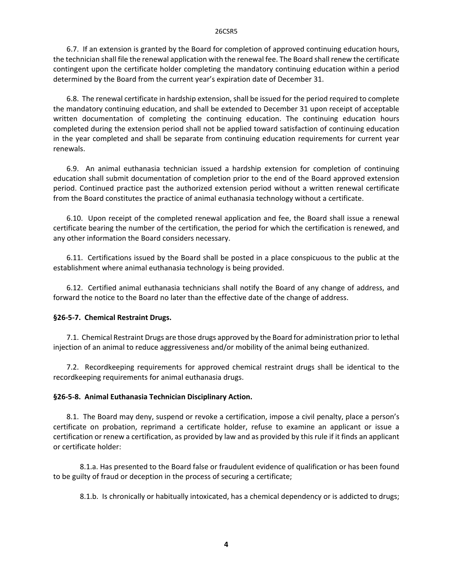#### 26CSR5

6.7. If an extension is granted by the Board for completion of approved continuing education hours, the technician shall file the renewal application with the renewal fee. The Board shall renew the certificate contingent upon the certificate holder completing the mandatory continuing education within a period determined by the Board from the current year's expiration date of December 31.

6.8. The renewal certificate in hardship extension, shall be issued for the period required to complete the mandatory continuing education, and shall be extended to December 31 upon receipt of acceptable written documentation of completing the continuing education. The continuing education hours completed during the extension period shall not be applied toward satisfaction of continuing education in the year completed and shall be separate from continuing education requirements for current year renewals.

6.9. An animal euthanasia technician issued a hardship extension for completion of continuing education shall submit documentation of completion prior to the end of the Board approved extension period. Continued practice past the authorized extension period without a written renewal certificate from the Board constitutes the practice of animal euthanasia technology without a certificate.

6.10. Upon receipt of the completed renewal application and fee, the Board shall issue a renewal certificate bearing the number of the certification, the period for which the certification is renewed, and any other information the Board considers necessary.

6.11. Certifications issued by the Board shall be posted in a place conspicuous to the public at the establishment where animal euthanasia technology is being provided.

6.12. Certified animal euthanasia technicians shall notify the Board of any change of address, and forward the notice to the Board no later than the effective date of the change of address.

### **§26‐5‐7. Chemical Restraint Drugs.**

7.1. Chemical Restraint Drugs are those drugs approved by the Board for administration prior to lethal injection of an animal to reduce aggressiveness and/or mobility of the animal being euthanized.

7.2. Recordkeeping requirements for approved chemical restraint drugs shall be identical to the recordkeeping requirements for animal euthanasia drugs.

### **§26‐5‐8. Animal Euthanasia Technician Disciplinary Action.**

8.1. The Board may deny, suspend or revoke a certification, impose a civil penalty, place a person's certificate on probation, reprimand a certificate holder, refuse to examine an applicant or issue a certification or renew a certification, as provided by law and as provided by this rule if it finds an applicant or certificate holder:

8.1.a. Has presented to the Board false or fraudulent evidence of qualification or has been found to be guilty of fraud or deception in the process of securing a certificate;

8.1.b. Is chronically or habitually intoxicated, has a chemical dependency or is addicted to drugs;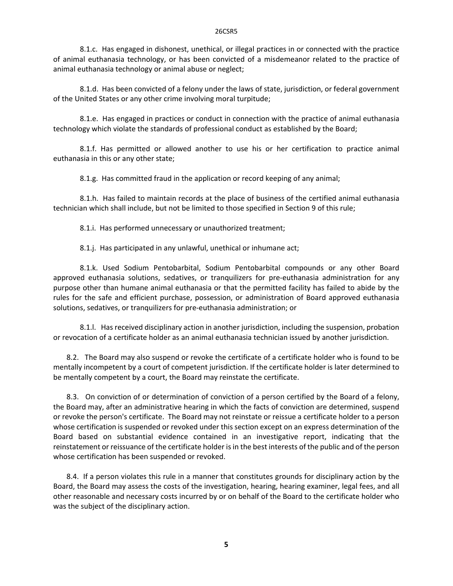8.1.c. Has engaged in dishonest, unethical, or illegal practices in or connected with the practice of animal euthanasia technology, or has been convicted of a misdemeanor related to the practice of animal euthanasia technology or animal abuse or neglect;

 8.1.d. Has been convicted of a felony under the laws of state, jurisdiction, or federal government of the United States or any other crime involving moral turpitude;

 8.1.e. Has engaged in practices or conduct in connection with the practice of animal euthanasia technology which violate the standards of professional conduct as established by the Board;

 8.1.f. Has permitted or allowed another to use his or her certification to practice animal euthanasia in this or any other state;

8.1.g. Has committed fraud in the application or record keeping of any animal;

 8.1.h. Has failed to maintain records at the place of business of the certified animal euthanasia technician which shall include, but not be limited to those specified in Section 9 of this rule;

8.1.i. Has performed unnecessary or unauthorized treatment;

8.1.j. Has participated in any unlawful, unethical or inhumane act;

 8.1.k. Used Sodium Pentobarbital, Sodium Pentobarbital compounds or any other Board approved euthanasia solutions, sedatives, or tranquilizers for pre-euthanasia administration for any purpose other than humane animal euthanasia or that the permitted facility has failed to abide by the rules for the safe and efficient purchase, possession, or administration of Board approved euthanasia solutions, sedatives, or tranquilizers for pre‐euthanasia administration; or

 8.1.l. Has received disciplinary action in another jurisdiction, including the suspension, probation or revocation of a certificate holder as an animal euthanasia technician issued by another jurisdiction.

8.2. The Board may also suspend or revoke the certificate of a certificate holder who is found to be mentally incompetent by a court of competent jurisdiction. If the certificate holder is later determined to be mentally competent by a court, the Board may reinstate the certificate.

 8.3. On conviction of or determination of conviction of a person certified by the Board of a felony, the Board may, after an administrative hearing in which the facts of conviction are determined, suspend or revoke the person's certificate. The Board may not reinstate or reissue a certificate holder to a person whose certification is suspended or revoked under this section except on an express determination of the Board based on substantial evidence contained in an investigative report, indicating that the reinstatement or reissuance of the certificate holder is in the best interests of the public and of the person whose certification has been suspended or revoked.

8.4. If a person violates this rule in a manner that constitutes grounds for disciplinary action by the Board, the Board may assess the costs of the investigation, hearing, hearing examiner, legal fees, and all other reasonable and necessary costs incurred by or on behalf of the Board to the certificate holder who was the subject of the disciplinary action.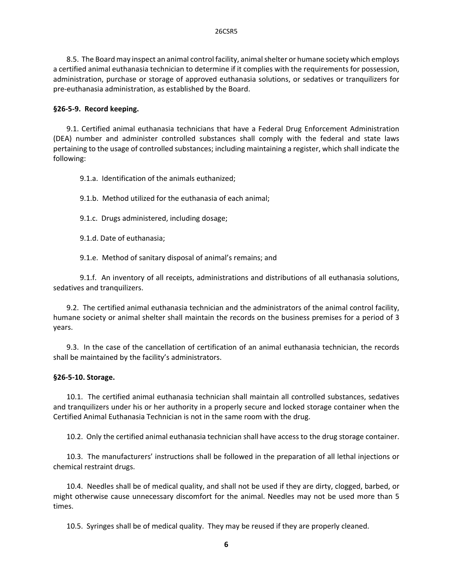8.5. The Board may inspect an animal control facility, animalshelter or humane society which employs a certified animal euthanasia technician to determine if it complies with the requirements for possession, administration, purchase or storage of approved euthanasia solutions, or sedatives or tranquilizers for pre‐euthanasia administration, as established by the Board.

### **§26‐5‐9. Record keeping.**

9.1. Certified animal euthanasia technicians that have a Federal Drug Enforcement Administration (DEA) number and administer controlled substances shall comply with the federal and state laws pertaining to the usage of controlled substances; including maintaining a register, which shall indicate the following:

9.1.a. Identification of the animals euthanized;

9.1.b. Method utilized for the euthanasia of each animal;

9.1.c. Drugs administered, including dosage;

9.1.d. Date of euthanasia;

9.1.e. Method of sanitary disposal of animal's remains; and

 9.1.f. An inventory of all receipts, administrations and distributions of all euthanasia solutions, sedatives and tranquilizers.

9.2. The certified animal euthanasia technician and the administrators of the animal control facility, humane society or animal shelter shall maintain the records on the business premises for a period of 3 years.

9.3. In the case of the cancellation of certification of an animal euthanasia technician, the records shall be maintained by the facility's administrators.

### **§26‐5‐10. Storage.**

10.1. The certified animal euthanasia technician shall maintain all controlled substances, sedatives and tranquilizers under his or her authority in a properly secure and locked storage container when the Certified Animal Euthanasia Technician is not in the same room with the drug.

10.2. Only the certified animal euthanasia technician shall have access to the drug storage container.

10.3. The manufacturers' instructions shall be followed in the preparation of all lethal injections or chemical restraint drugs.

10.4. Needles shall be of medical quality, and shall not be used if they are dirty, clogged, barbed, or might otherwise cause unnecessary discomfort for the animal. Needles may not be used more than 5 times.

10.5. Syringes shall be of medical quality. They may be reused if they are properly cleaned.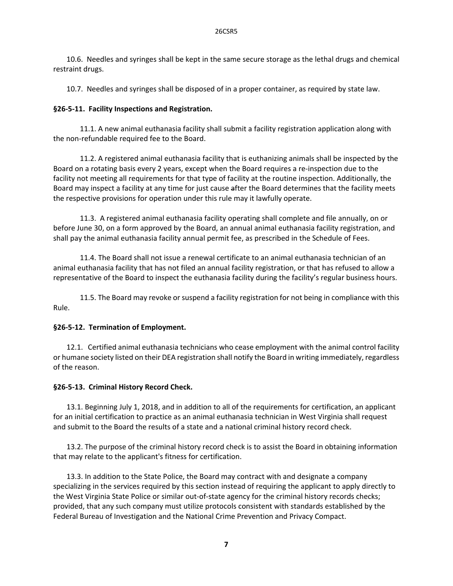10.6. Needles and syringes shall be kept in the same secure storage as the lethal drugs and chemical restraint drugs.

10.7. Needles and syringes shall be disposed of in a proper container, as required by state law.

# **§26‐5‐11. Facility Inspections and Registration.**

11.1. A new animal euthanasia facility shall submit a facility registration application along with the non‐refundable required fee to the Board.

11.2. A registered animal euthanasia facility that is euthanizing animals shall be inspected by the Board on a rotating basis every 2 years, except when the Board requires a re‐inspection due to the facility not meeting all requirements for that type of facility at the routine inspection. Additionally, the Board may inspect a facility at any time for just cause after the Board determines that the facility meets the respective provisions for operation under this rule may it lawfully operate.

11.3. A registered animal euthanasia facility operating shall complete and file annually, on or before June 30, on a form approved by the Board, an annual animal euthanasia facility registration, and shall pay the animal euthanasia facility annual permit fee, as prescribed in the Schedule of Fees.

11.4. The Board shall not issue a renewal certificate to an animal euthanasia technician of an animal euthanasia facility that has not filed an annual facility registration, or that has refused to allow a representative of the Board to inspect the euthanasia facility during the facility's regular business hours.

11.5. The Board may revoke or suspend a facility registration for not being in compliance with this Rule.

# **§26‐5‐12. Termination of Employment.**

12.1. Certified animal euthanasia technicians who cease employment with the animal control facility or humane society listed on their DEA registration shall notify the Board in writing immediately, regardless of the reason.

# **§26‐5‐13. Criminal History Record Check.**

13.1. Beginning July 1, 2018, and in addition to all of the requirements for certification, an applicant for an initial certification to practice as an animal euthanasia technician in West Virginia shall request and submit to the Board the results of a state and a national criminal history record check.

 13.2. The purpose of the criminal history record check is to assist the Board in obtaining information that may relate to the applicant's fitness for certification.

 13.3. In addition to the State Police, the Board may contract with and designate a company specializing in the services required by this section instead of requiring the applicant to apply directly to the West Virginia State Police or similar out‐of‐state agency for the criminal history records checks; provided, that any such company must utilize protocols consistent with standards established by the Federal Bureau of Investigation and the National Crime Prevention and Privacy Compact.